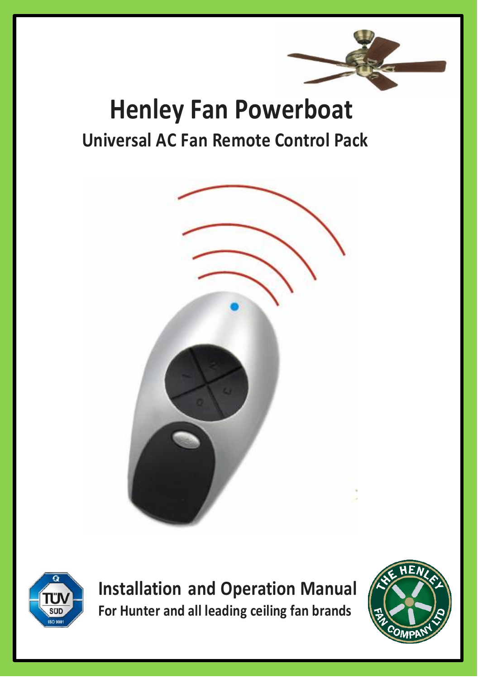

# **Henley Fan Powerboat Universal AC Fan Remote Control Pack**





**Installation and Operation Manual For Hunter and all leading ceiling fan brands**

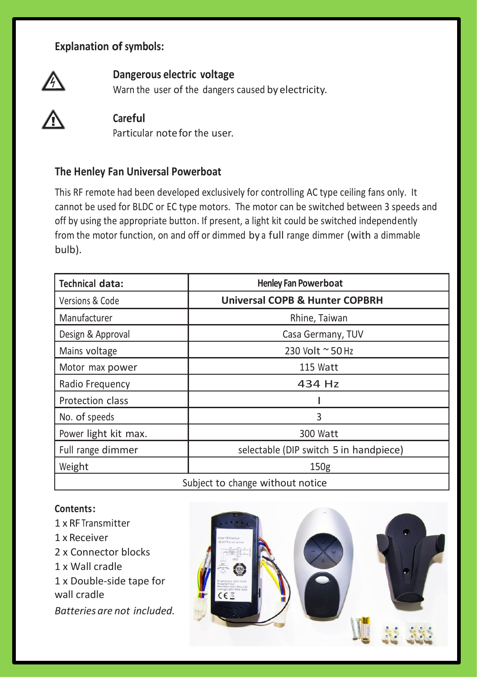## **Explanation of symbols:**



# **Dangerous electric voltage**

Warn the user of the dangers caused by electricity.



### **Careful**

Particular note for the user.

### **The Henley Fan Universal Powerboat**

This RF remote had been developed exclusively for controlling AC type ceiling fans only. It cannot be used for BLDC or EC type motors. The motor can be switched between 3 speeds and off by using the appropriate button. If present, a light kit could be switched independently from the motor function, on and off or dimmed by a full range dimmer (with a dimmable bulb).

| <b>Technical data:</b>           | <b>Henley Fan Powerboat</b>               |
|----------------------------------|-------------------------------------------|
| Versions & Code                  | <b>Universal COPB &amp; Hunter COPBRH</b> |
| Manufacturer                     | Rhine, Taiwan                             |
| Design & Approval                | Casa Germany, TUV                         |
| Mains voltage                    | 230 Volt ~ 50 Hz                          |
| Motor max power                  | 115 Watt                                  |
| Radio Frequency                  | 434 Hz                                    |
| Protection class                 |                                           |
| No. of speeds                    | 3                                         |
| Power light kit max.             | 300 Watt                                  |
| Full range dimmer                | selectable (DIP switch 5 in handpiece)    |
| Weight                           | 150 <sub>g</sub>                          |
| Subject to change without notice |                                           |

#### **Contents:**

1 x RF Transmitter 1 x Receiver 2 x Connector blocks 1 x Wall cradle 1 x Double-side tape for wall cradle *Batteries are not included.*

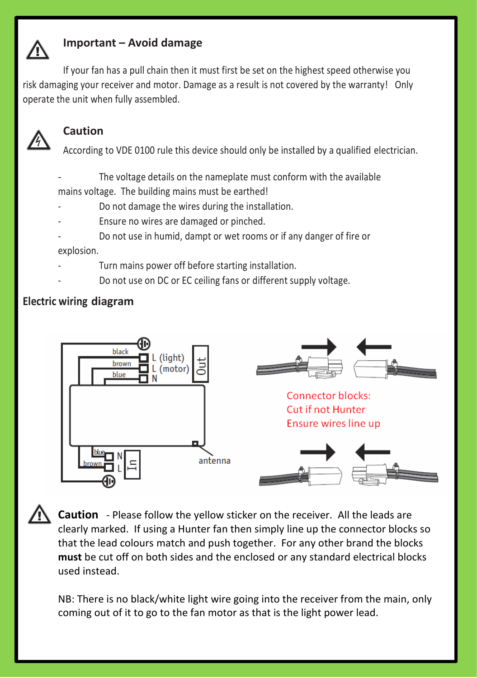

### **Important – Avoid damage**

If your fan has a pull chain then it must first be set on the highest speed otherwise you risk damaging your receiver and motor. Damage as a result is not covered by the warranty! Only operate the unit when fully assembled.



# **Caution**

According to VDE 0100 rule this device should only be installed by a qualified electrician.

- The voltage details on the nameplate must conform with the available mains voltage. The building mains must be earthed!
- Do not damage the wires during the installation.
- Ensure no wires are damaged or pinched.
- Do not use in humid, dampt or wet rooms or if any danger of fire or explosion.
- Turn mains power off before starting installation.
- Do not use on DC or EC ceiling fans or different supply voltage.

### **Electric wiring diagram**



**Caution** - Please follow the yellow sticker on the receiver. All the leads are clearly marked. If using a Hunter fan then simply line up the connector blocks so that the lead colours match and push together. For any other brand the blocks **must** be cut off on both sides and the enclosed or any standard electrical blocks used instead.

NB: There is no black/white light wire going into the receiver from the main, only coming out of it to go to the fan motor as that is the light power lead.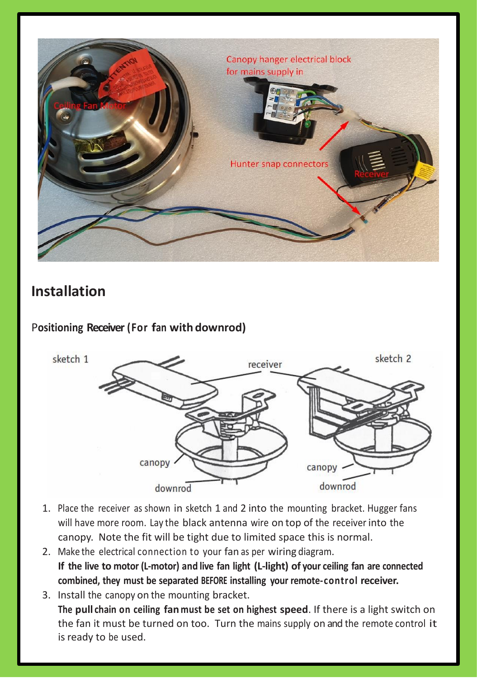

# **Installation**

# P**ositioning Receiver (For fan with downrod)**



- 1. Place the receiver as shown in sketch 1 and 2 into the mounting bracket. Hugger fans will have more room. Lay the black antenna wire on top of the receiver into the canopy. Note the fit will be tight due to limited space this is normal.
- 2. Make the electrical connection to your fan as per wiring diagram. **If the live to motor (L-motor) and live fan light (L-light) of your ceiling fan are connected combined, they must be separated BEFORE installing your remote-control receiver.**
- 3. Install the canopy on the mounting bracket. **The pull chain on ceiling fan must be set on highest speed**. If there is a light switch on the fan it must be turned on too. Turn the mains supply on and the remote control it is ready to be used.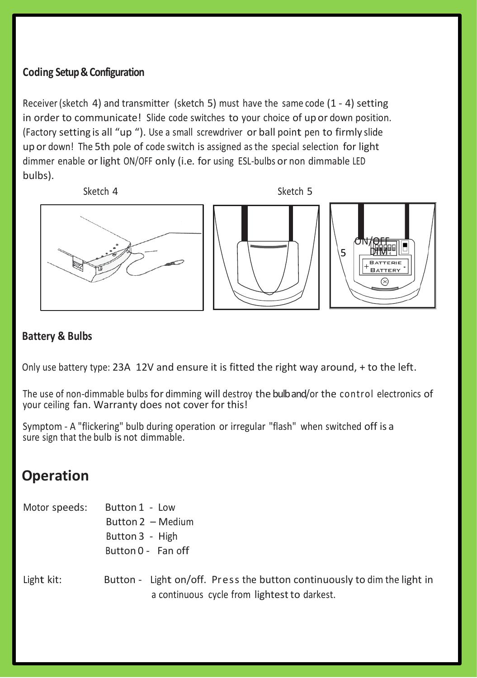# **Coding Setup& Configuration**

Receiver (sketch 4) and transmitter (sketch 5) must have the same code  $(1 - 4)$  setting in order to communicate! Slide code switches to your choice of up or down position. (Factory setting is all "up "). Use <sup>a</sup> small screwdriver or ball point pen to firmly slide up or down! The 5th pole of code switch is assigned as the special selection for light dimmer enable or light ON/OFF only (i.e. for using ESL-bulbs or non dimmable LED bulbs).



#### **Battery & Bulbs**

Only use battery type: 23A 12V and ensure it is fitted the right way around, + to the left.

The use of non-dimmable bulbs for dimming will destroy the bulb and/or the control electronics of your ceiling fan. Warranty does not cover for this!

Symptom - A "flickering" bulb during operation or irregular "flash" when switched off is a sure sign that the bulb is not dimmable.

# **Operation**

| Motor speeds: | Button 1 - Low                                                                                                           |
|---------------|--------------------------------------------------------------------------------------------------------------------------|
|               | Button 2 - Medium                                                                                                        |
|               | Button 3 - High                                                                                                          |
|               | Button 0 - Fan off                                                                                                       |
| Light kit:    | Button - Light on/off. Press the button continuously to dim the light in<br>a continuous cycle from lightest to darkest. |